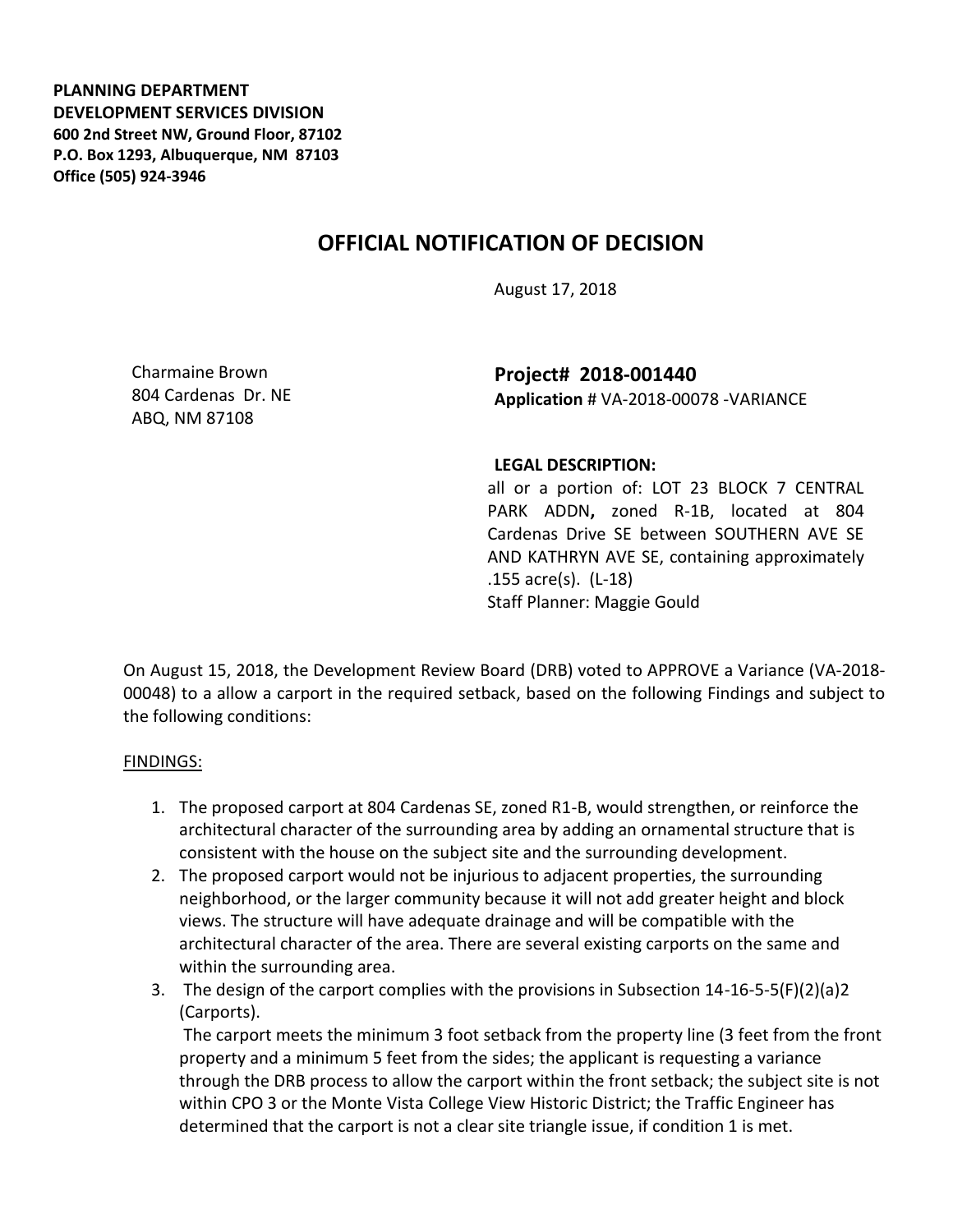**PLANNING DEPARTMENT DEVELOPMENT SERVICES DIVISION 600 2nd Street NW, Ground Floor, 87102 P.O. Box 1293, Albuquerque, NM 87103 Office (505) 924-3946** 

## **OFFICIAL NOTIFICATION OF DECISION**

August 17, 2018

Charmaine Brown 804 Cardenas Dr. NE ABQ, NM 87108

**Project# 2018-001440 Application** # VA-2018-00078 -VARIANCE

## **LEGAL DESCRIPTION:**

all or a portion of: LOT 23 BLOCK 7 CENTRAL PARK ADDN**,** zoned R-1B, located at 804 Cardenas Drive SE between SOUTHERN AVE SE AND KATHRYN AVE SE, containing approximately .155 acre(s). (L-18) Staff Planner: Maggie Gould

On August 15, 2018, the Development Review Board (DRB) voted to APPROVE a Variance (VA-2018- 00048) to a allow a carport in the required setback, based on the following Findings and subject to the following conditions:

## FINDINGS:

- 1. The proposed carport at 804 Cardenas SE, zoned R1-B, would strengthen, or reinforce the architectural character of the surrounding area by adding an ornamental structure that is consistent with the house on the subject site and the surrounding development.
- 2. The proposed carport would not be injurious to adjacent properties, the surrounding neighborhood, or the larger community because it will not add greater height and block views. The structure will have adequate drainage and will be compatible with the architectural character of the area. There are several existing carports on the same and within the surrounding area.
- 3. The design of the carport complies with the provisions in Subsection 14-16-5-5(F)(2)(a)2 (Carports).

The carport meets the minimum 3 foot setback from the property line (3 feet from the front property and a minimum 5 feet from the sides; the applicant is requesting a variance through the DRB process to allow the carport within the front setback; the subject site is not within CPO 3 or the Monte Vista College View Historic District; the Traffic Engineer has determined that the carport is not a clear site triangle issue, if condition 1 is met.